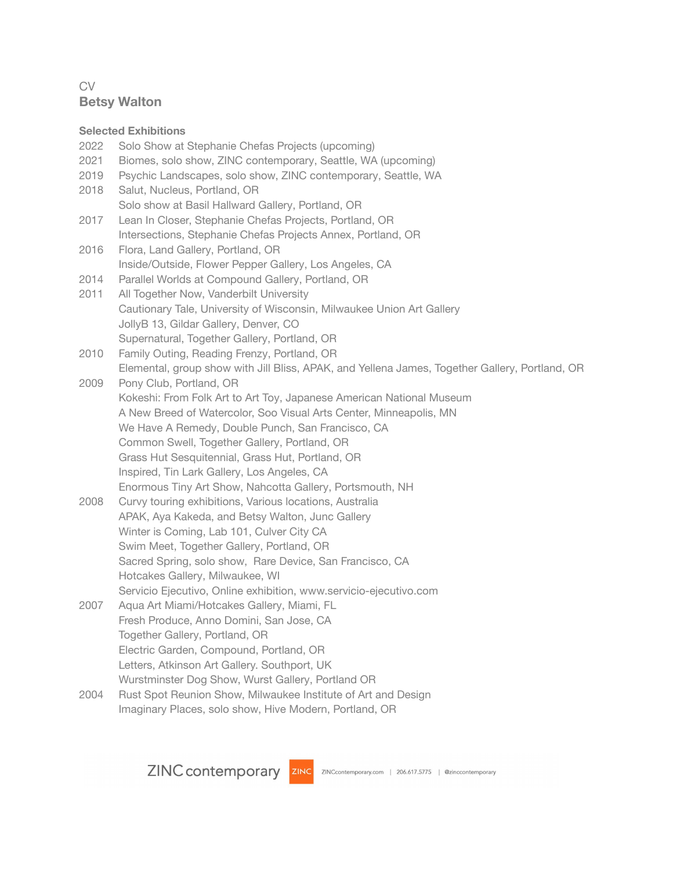# CV **Betsy Walton**

## **Selected Exhibitions**

- 2022 Solo Show at Stephanie Chefas Projects (upcoming)
- 2021 Biomes, solo show, ZINC contemporary, Seattle, WA (upcoming)
- 2019 Psychic Landscapes, solo show, ZINC contemporary, Seattle, WA
- 2018 Salut, Nucleus, Portland, OR Solo show at Basil Hallward Gallery, Portland, OR
- 2017 Lean In Closer, Stephanie Chefas Projects, Portland, OR Intersections, Stephanie Chefas Projects Annex, Portland, OR
- 2016 Flora, Land Gallery, Portland, OR Inside/Outside, Flower Pepper Gallery, Los Angeles, CA
- 2014 Parallel Worlds at Compound Gallery, Portland, OR
- 2011 All Together Now, Vanderbilt University Cautionary Tale, University of Wisconsin, Milwaukee Union Art Gallery JollyB 13, Gildar Gallery, Denver, CO Supernatural, Together Gallery, Portland, OR
- 2010 Family Outing, Reading Frenzy, Portland, OR Elemental, group show with Jill Bliss, APAK, and Yellena James, Together Gallery, Portland, OR
- 2009 Pony Club, Portland, OR Kokeshi: From Folk Art to Art Toy, Japanese American National Museum A New Breed of Watercolor, Soo Visual Arts Center, Minneapolis, MN We Have A Remedy, Double Punch, San Francisco, CA Common Swell, Together Gallery, Portland, OR Grass Hut Sesquitennial, Grass Hut, Portland, OR Inspired, Tin Lark Gallery, Los Angeles, CA
- Enormous Tiny Art Show, Nahcotta Gallery, Portsmouth, NH
- 2008 Curvy touring exhibitions, Various locations, Australia APAK, Aya Kakeda, and Betsy Walton, Junc Gallery Winter is Coming, Lab 101, Culver City CA Swim Meet, Together Gallery, Portland, OR Sacred Spring, solo show, Rare Device, San Francisco, CA Hotcakes Gallery, Milwaukee, WI Servicio Ejecutivo, Online exhibition, www.servicio-ejecutivo.com
- 2007 Aqua Art Miami/Hotcakes Gallery, Miami, FL Fresh Produce, Anno Domini, San Jose, CA Together Gallery, Portland, OR Electric Garden, Compound, Portland, OR Letters, Atkinson Art Gallery. Southport, UK Wurstminster Dog Show, Wurst Gallery, Portland OR
- 2004 Rust Spot Reunion Show, Milwaukee Institute of Art and Design Imaginary Places, solo show, Hive Modern, Portland, OR